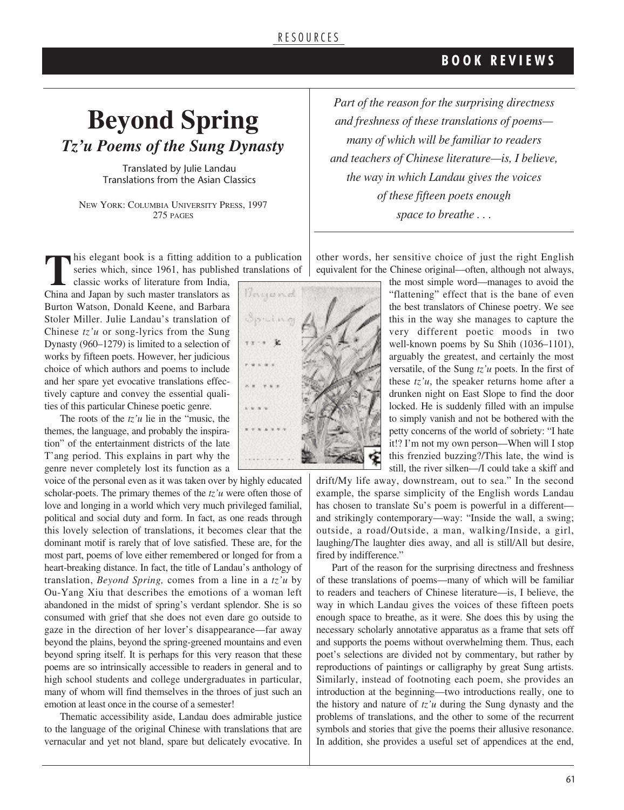### **B O O K R E V I E W S**

## **Beyond Spring** *Tz'u Poems of the Sung Dynasty*

Translated by Julie Landau Translations from the Asian Classics

NEW YORK: COLUMBIA UNIVERSITY PRESS, 1997 275 PAGES

**This elegant book is a fitting addition to a publication** series which, since 1961, has published translations of classic works of literature from India, and Japan by such master translators as *Thispermal* series which, since 1961, has published translations of

classic works of literature from India, China and Japan by such master translators as Burton Watson, Donald Keene, and Barbara Stoler Miller. Julie Landau's translation of Chinese *tz'u* or song-lyrics from the Sung Dynasty (960–1279) is limited to a selection of works by fifteen poets. However, her judicious choice of which authors and poems to include and her spare yet evocative translations effectively capture and convey the essential qualities of this particular Chinese poetic genre.

The roots of the *tz'u* lie in the "music, the themes, the language, and probably the inspiration" of the entertainment districts of the late T'ang period. This explains in part why the genre never completely lost its function as a

voice of the personal even as it was taken over by highly educated scholar-poets. The primary themes of the *tz'u* were often those of love and longing in a world which very much privileged familial, political and social duty and form. In fact, as one reads through this lovely selection of translations, it becomes clear that the dominant motif is rarely that of love satisfied. These are, for the most part, poems of love either remembered or longed for from a heart-breaking distance. In fact, the title of Landau's anthology of translation, *Beyond Spring,* comes from a line in a *tz'u* by Ou-Yang Xiu that describes the emotions of a woman left abandoned in the midst of spring's verdant splendor. She is so consumed with grief that she does not even dare go outside to gaze in the direction of her lover's disappearance—far away beyond the plains, beyond the spring-greened mountains and even beyond spring itself. It is perhaps for this very reason that these poems are so intrinsically accessible to readers in general and to high school students and college undergraduates in particular, many of whom will find themselves in the throes of just such an emotion at least once in the course of a semester!

Thematic accessibility aside, Landau does admirable justice to the language of the original Chinese with translations that are vernacular and yet not bland, spare but delicately evocative. In



*Part of the reason for the surprising directness and freshness of these translations of poems many of which will be familiar to readers and teachers of Chinese literature—is, I believe, the way in which Landau gives the voices of these fifteen poets enough space to breathe . . .*

other words, her sensitive choice of just the right English equivalent for the Chinese original—often, although not always,

the most simple word—manages to avoid the "flattening" effect that is the bane of even the best translators of Chinese poetry. We see this in the way she manages to capture the very different poetic moods in two well-known poems by Su Shih (1036–1101), arguably the greatest, and certainly the most versatile, of the Sung *tz'u* poets. In the first of these  $tz'u$ , the speaker returns home after a drunken night on East Slope to find the door locked. He is suddenly filled with an impulse to simply vanish and not be bothered with the petty concerns of the world of sobriety: "I hate it!? I'm not my own person—When will I stop this frenzied buzzing?/This late, the wind is still, the river silken—/I could take a skiff and

drift/My life away, downstream, out to sea." In the second example, the sparse simplicity of the English words Landau has chosen to translate Su's poem is powerful in a differentand strikingly contemporary—way: "Inside the wall, a swing; outside, a road/Outside, a man, walking/Inside, a girl, laughing/The laughter dies away, and all is still/All but desire, fired by indifference."

Part of the reason for the surprising directness and freshness of these translations of poems—many of which will be familiar to readers and teachers of Chinese literature—is, I believe, the way in which Landau gives the voices of these fifteen poets enough space to breathe, as it were. She does this by using the necessary scholarly annotative apparatus as a frame that sets off and supports the poems without overwhelming them. Thus, each poet's selections are divided not by commentary, but rather by reproductions of paintings or calligraphy by great Sung artists. Similarly, instead of footnoting each poem, she provides an introduction at the beginning—two introductions really, one to the history and nature of *tz'u* during the Sung dynasty and the problems of translations, and the other to some of the recurrent symbols and stories that give the poems their allusive resonance. In addition, she provides a useful set of appendices at the end,